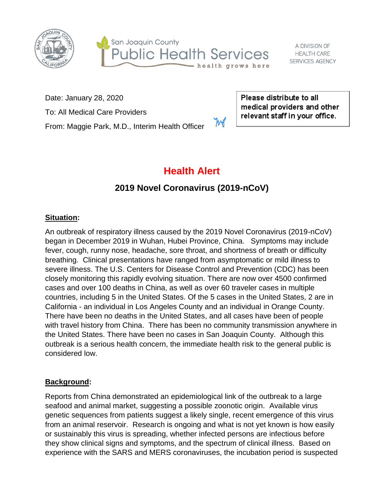



A DIVISION OF **HEALTH CARE** SERVICES AGENCY

Date: January 28, 2020

To: All Medical Care Providers

From: Maggie Park, M.D., Interim Health Officer

Please distribute to all medical providers and other relevant staff in your office.

# **Health Alert**

m

# **2019 Novel Coronavirus (2019-nCoV)**

## **Situation:**

An outbreak of respiratory illness caused by the 2019 Novel Coronavirus (2019-nCoV) began in December 2019 in Wuhan, Hubei Province, China. Symptoms may include fever, cough, runny nose, headache, sore throat, and shortness of breath or difficulty breathing. Clinical presentations have ranged from asymptomatic or mild illness to severe illness. The U.S. Centers for Disease Control and Prevention (CDC) has been closely monitoring this rapidly evolving situation. There are now over 4500 confirmed cases and over 100 deaths in China, as well as over 60 traveler cases in multiple countries, including 5 in the United States. Of the 5 cases in the United States, 2 are in California - an individual in Los Angeles County and an individual in Orange County. There have been no deaths in the United States, and all cases have been of people with travel history from China. There has been no community transmission anywhere in the United States. There have been no cases in San Joaquin County. Although this outbreak is a serious health concern, the immediate health risk to the general public is considered low.

### **Background:**

Reports from China demonstrated an epidemiological link of the outbreak to a large seafood and animal market, suggesting a possible zoonotic origin. Available virus genetic sequences from patients suggest a likely single, recent emergence of this virus from an animal reservoir. Research is ongoing and what is not yet known is how easily or sustainably this virus is spreading, whether infected persons are infectious before they show clinical signs and symptoms, and the spectrum of clinical illness. Based on experience with the SARS and MERS coronaviruses, the incubation period is suspected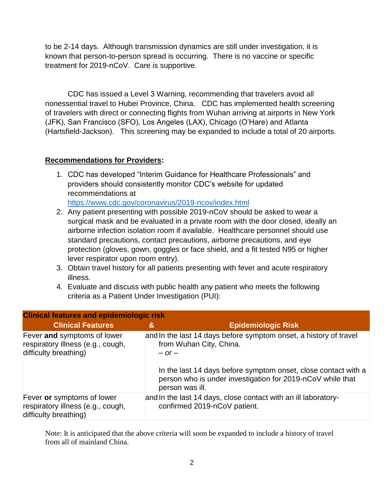to be 2-14 days. Although transmission dynamics are still under investigation, it is known that person-to-person spread is occurring. There is no vaccine or specific treatment for 2019-nCoV. Care is supportive.

CDC has issued a Level 3 Warning, recommending that travelers avoid all nonessential travel to Hubei Province, China. CDC has implemented health screening of travelers with direct or connecting flights from Wuhan arriving at airports in New York (JFK), San Francisco (SFO), Los Angeles (LAX), Chicago (O'Hare) and Atlanta (Hartsfield-Jackson). This screening may be expanded to include a total of 20 airports.

#### **Recommendations for Providers:**

1. CDC has developed "Interim Guidance for Healthcare Professionals" and providers should consistently monitor CDC's website for updated recommendations at

<https://www.cdc.gov/coronavirus/2019-ncov/index.html>

- 2. Any patient presenting with possible 2019-nCoV should be asked to wear a surgical mask and be evaluated in a private room with the door closed, ideally an airborne infection isolation room if available. Healthcare personnel should use standard precautions, contact precautions, airborne precautions, and eye protection (gloves, gown, goggles or face shield, and a fit tested N95 or higher lever respirator upon room entry).
- 3. Obtain travel history for all patients presenting with fever and acute respiratory illness.
- 4. Evaluate and discuss with public health any patient who meets the following criteria as a Patient Under Investigation (PUI):

| <b>Clinical features and epidemiologic risk</b>                                           |   |                                                                                                                                                                                                                                                               |
|-------------------------------------------------------------------------------------------|---|---------------------------------------------------------------------------------------------------------------------------------------------------------------------------------------------------------------------------------------------------------------|
| <b>Clinical Features</b>                                                                  | & | <b>Epidemiologic Risk</b>                                                                                                                                                                                                                                     |
| Fever and symptoms of lower<br>respiratory illness (e.g., cough,<br>difficulty breathing) |   | and In the last 14 days before symptom onset, a history of travel<br>from Wuhan City, China.<br>$-$ or $-$<br>In the last 14 days before symptom onset, close contact with a<br>person who is under investigation for 2019-nCoV while that<br>person was ill. |
| Fever or symptoms of lower<br>respiratory illness (e.g., cough,<br>difficulty breathing)  |   | and In the last 14 days, close contact with an ill laboratory-<br>confirmed 2019-nCoV patient.                                                                                                                                                                |

Note: It is anticipated that the above criteria will soon be expanded to include a history of travel from all of mainland China.